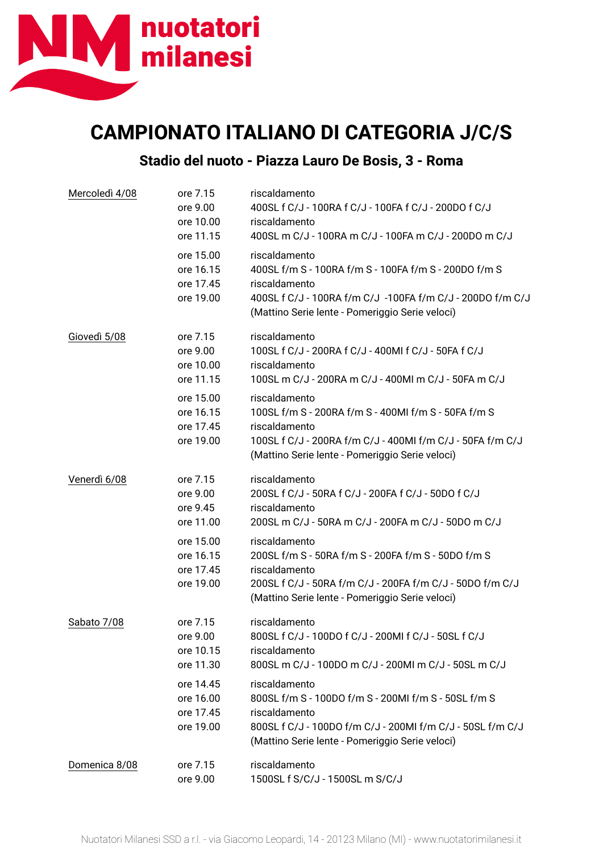

## **CAMPIONATO ITALIANO DI CATEGORIA J/C/S**

## **Stadio del nuoto - Piazza Lauro De Bosis, 3 - Roma**

| Mercoledì 4/08 | ore 7.15<br>ore 9.00<br>ore 10.00<br>ore 11.15   | riscaldamento<br>400SL f C/J - 100RA f C/J - 100FA f C/J - 200DO f C/J<br>riscaldamento<br>400SL m C/J - 100RA m C/J - 100FA m C/J - 200DO m C/J                                                         |  |  |
|----------------|--------------------------------------------------|----------------------------------------------------------------------------------------------------------------------------------------------------------------------------------------------------------|--|--|
|                | ore 15.00<br>ore 16.15<br>ore 17.45<br>ore 19.00 | riscaldamento<br>400SL f/m S - 100RA f/m S - 100FA f/m S - 200DO f/m S<br>riscaldamento<br>400SL f C/J - 100RA f/m C/J -100FA f/m C/J - 200DO f/m C/J<br>(Mattino Serie lente - Pomeriggio Serie veloci) |  |  |
| Giovedì 5/08   | ore 7.15<br>ore 9.00<br>ore 10.00<br>ore 11.15   | riscaldamento<br>100SL f C/J - 200RA f C/J - 400MI f C/J - 50FA f C/J<br>riscaldamento<br>100SL m C/J - 200RA m C/J - 400MI m C/J - 50FA m C/J                                                           |  |  |
|                | ore 15.00<br>ore 16.15<br>ore 17.45<br>ore 19.00 | riscaldamento<br>100SL f/m S - 200RA f/m S - 400MI f/m S - 50FA f/m S<br>riscaldamento<br>100SL f C/J - 200RA f/m C/J - 400MI f/m C/J - 50FA f/m C/J<br>(Mattino Serie lente - Pomeriggio Serie veloci)  |  |  |
| Venerdì 6/08   | ore 7.15<br>ore 9.00<br>ore 9.45<br>ore 11.00    | riscaldamento<br>200SL f C/J - 50RA f C/J - 200FA f C/J - 50DO f C/J<br>riscaldamento<br>200SL m C/J - 50RA m C/J - 200FA m C/J - 50DO m C/J                                                             |  |  |
|                | ore 15.00<br>ore 16.15<br>ore 17.45<br>ore 19.00 | riscaldamento<br>200SL f/m S - 50RA f/m S - 200FA f/m S - 50DO f/m S<br>riscaldamento<br>200SL f C/J - 50RA f/m C/J - 200FA f/m C/J - 50DO f/m C/J<br>(Mattino Serie lente - Pomeriggio Serie veloci)    |  |  |
| Sabato 7/08    | ore 7.15<br>ore 9.00<br>ore 10.15<br>ore 11.30   | riscaldamento<br>800SL f C/J - 100DO f C/J - 200MI f C/J - 50SL f C/J<br>riscaldamento<br>800SL m C/J - 100DO m C/J - 200MI m C/J - 50SL m C/J                                                           |  |  |
|                | ore 14.45<br>ore 16.00<br>ore 17.45<br>ore 19.00 | riscaldamento<br>800SL f/m S - 100DO f/m S - 200MI f/m S - 50SL f/m S<br>riscaldamento<br>800SL f C/J - 100DO f/m C/J - 200MI f/m C/J - 50SL f/m C/J<br>(Mattino Serie lente - Pomeriggio Serie veloci)  |  |  |
| Domenica 8/08  | ore 7.15<br>ore 9.00                             | riscaldamento<br>1500SL f S/C/J - 1500SL m S/C/J                                                                                                                                                         |  |  |